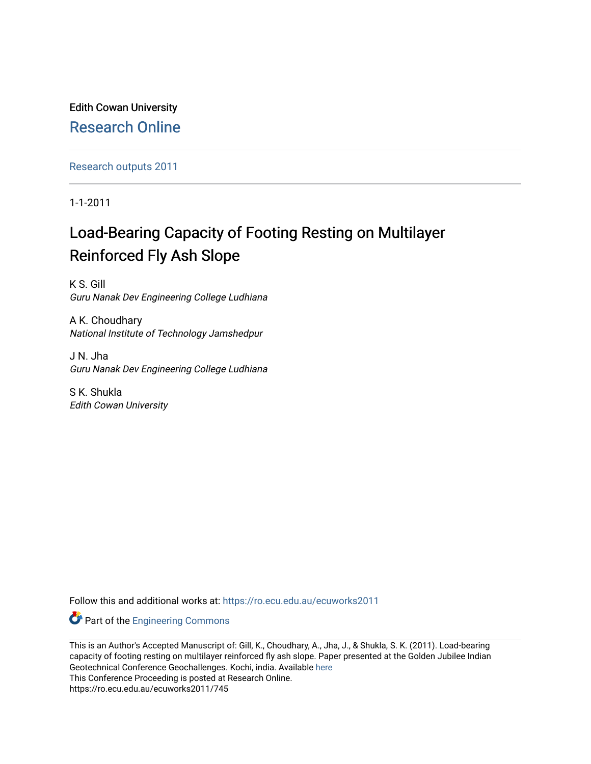Edith Cowan University [Research Online](https://ro.ecu.edu.au/) 

[Research outputs 2011](https://ro.ecu.edu.au/ecuworks2011)

1-1-2011

# Load-Bearing Capacity of Footing Resting on Multilayer Reinforced Fly Ash Slope

K S. Gill Guru Nanak Dev Engineering College Ludhiana

A K. Choudhary National Institute of Technology Jamshedpur

J N. Jha Guru Nanak Dev Engineering College Ludhiana

S K. Shukla Edith Cowan University

Follow this and additional works at: [https://ro.ecu.edu.au/ecuworks2011](https://ro.ecu.edu.au/ecuworks2011?utm_source=ro.ecu.edu.au%2Fecuworks2011%2F745&utm_medium=PDF&utm_campaign=PDFCoverPages) 

Part of the [Engineering Commons](http://network.bepress.com/hgg/discipline/217?utm_source=ro.ecu.edu.au%2Fecuworks2011%2F745&utm_medium=PDF&utm_campaign=PDFCoverPages)

This is an Author's Accepted Manuscript of: Gill, K., Choudhary, A., Jha, J., & Shukla, S. K. (2011). Load-bearing capacity of footing resting on multilayer reinforced fly ash slope. Paper presented at the Golden Jubilee Indian Geotechnical Conference Geochallenges. Kochi, india. Available [here](http://ascelibrary.org/doi/abs/10.1061/9780784412121.438)  This Conference Proceeding is posted at Research Online. https://ro.ecu.edu.au/ecuworks2011/745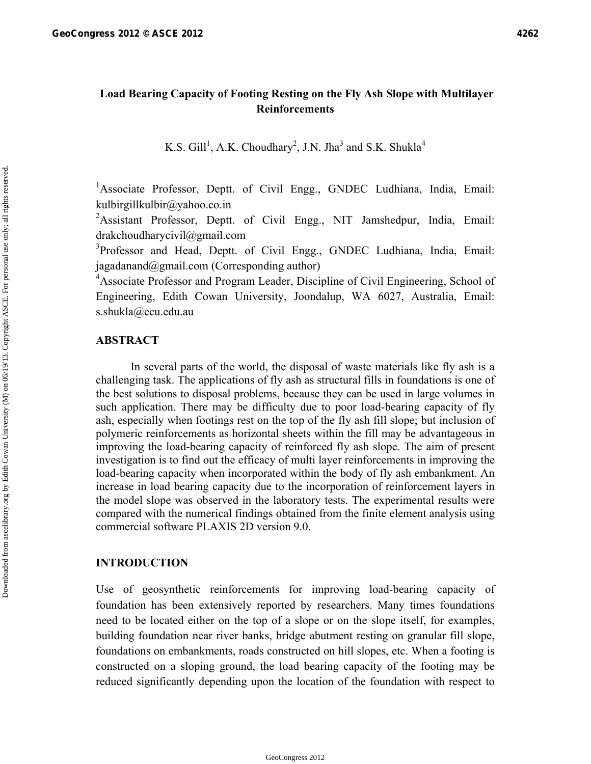K.S. Gill<sup>1</sup>, A.K. Choudhary<sup>2</sup>, J.N. Jha<sup>3</sup> and S.K. Shukla<sup>4</sup>

<sup>1</sup>Associate Professor, Deptt. of Civil Engg., GNDEC Ludhiana, India, Email: kulbirgillkulbir@yahoo.co.in

<sup>2</sup>Assistant Professor, Deptt. of Civil Engg., NIT Jamshedpur, India, Email: drakchoudharycivil@gmail.com

<sup>3</sup>Professor and Head, Deptt. of Civil Engg., GNDEC Ludhiana, India, Email:  $jagadanand@gmail.com (Corresponding author)$ 

<sup>4</sup> Associate Professor and Program Leader, Discipline of Civil Engineering, School of Engineering, Edith Cowan University, Joondalup, WA 6027, Australia, Email: s.shukla@ecu.edu.au

## **ABSTRACT**

In several parts of the world, the disposal of waste materials like fly ash is a challenging task. The applications of fly ash as structural fills in foundations is one of the best solutions to disposal problems, because they can be used in large volumes in such application. There may be difficulty due to poor load-bearing capacity of fly ash, especially when footings rest on the top of the fly ash fill slope; but inclusion of polymeric reinforcements as horizontal sheets within the fill may be advantageous in improving the load-bearing capacity of reinforced fly ash slope. The aim of present investigation is to find out the efficacy of multi layer reinforcements in improving the load-bearing capacity when incorporated within the body of fly ash embankment. An increase in load bearing capacity due to the incorporation of reinforcement layers in the model slope was observed in the laboratory tests. The experimental results were compared with the numerical findings obtained from the finite element analysis using commercial software PLAXIS 2D version 9.0.

### **INTRODUCTION**

Use of geosynthetic reinforcements for improving load-bearing capacity of foundation has been extensively reported by researchers. Many times foundations need to be located either on the top of a slope or on the slope itself, for examples, building foundation near river banks, bridge abutment resting on granular fill slope, foundations on embankments, roads constructed on hill slopes, etc. When a footing is constructed on a sloping ground, the load bearing capacity of the footing may be reduced significantly depending upon the location of the foundation with respect to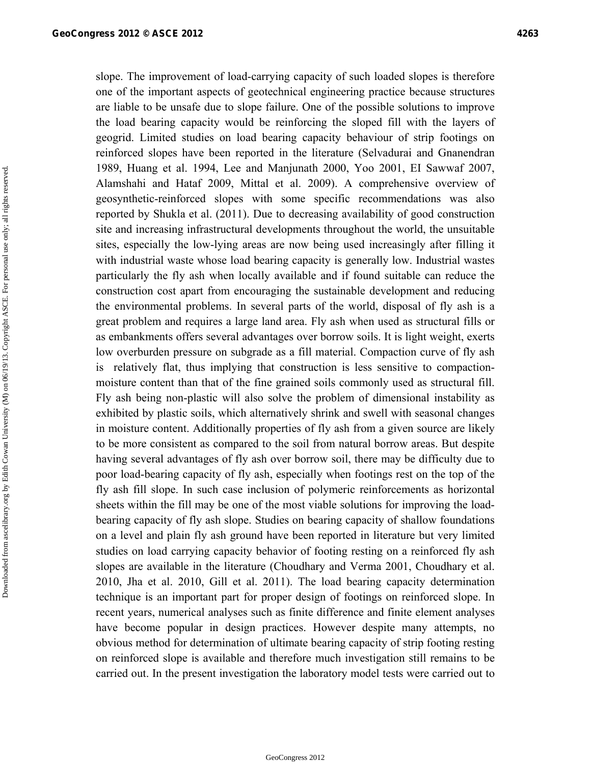slope. The improvement of load-carrying capacity of such loaded slopes is therefore one of the important aspects of geotechnical engineering practice because structures are liable to be unsafe due to slope failure. One of the possible solutions to improve the load bearing capacity would be reinforcing the sloped fill with the layers of geogrid. Limited studies on load bearing capacity behaviour of strip footings on reinforced slopes have been reported in the literature (Selvadurai and Gnanendran 1989, Huang et al. 1994, Lee and Manjunath 2000, Yoo 2001, EI Sawwaf 2007, Alamshahi and Hataf 2009, Mittal et al. 2009). A comprehensive overview of geosynthetic-reinforced slopes with some specific recommendations was also reported by Shukla et al. (2011). Due to decreasing availability of good construction site and increasing infrastructural developments throughout the world, the unsuitable sites, especially the low-lying areas are now being used increasingly after filling it with industrial waste whose load bearing capacity is generally low. Industrial wastes particularly the fly ash when locally available and if found suitable can reduce the construction cost apart from encouraging the sustainable development and reducing the environmental problems. In several parts of the world, disposal of fly ash is a great problem and requires a large land area. Fly ash when used as structural fills or as embankments offers several advantages over borrow soils. It is light weight, exerts low overburden pressure on subgrade as a fill material. Compaction curve of fly ash is relatively flat, thus implying that construction is less sensitive to compactionmoisture content than that of the fine grained soils commonly used as structural fill. Fly ash being non-plastic will also solve the problem of dimensional instability as exhibited by plastic soils, which alternatively shrink and swell with seasonal changes in moisture content. Additionally properties of fly ash from a given source are likely to be more consistent as compared to the soil from natural borrow areas. But despite having several advantages of fly ash over borrow soil, there may be difficulty due to poor load-bearing capacity of fly ash, especially when footings rest on the top of the fly ash fill slope. In such case inclusion of polymeric reinforcements as horizontal sheets within the fill may be one of the most viable solutions for improving the loadbearing capacity of fly ash slope. Studies on bearing capacity of shallow foundations on a level and plain fly ash ground have been reported in literature but very limited studies on load carrying capacity behavior of footing resting on a reinforced fly ash slopes are available in the literature (Choudhary and Verma 2001, Choudhary et al. 2010, Jha et al. 2010, Gill et al. 2011). The load bearing capacity determination technique is an important part for proper design of footings on reinforced slope. In recent years, numerical analyses such as finite difference and finite element analyses have become popular in design practices. However despite many attempts, no obvious method for determination of ultimate bearing capacity of strip footing resting on reinforced slope is available and therefore much investigation still remains to be carried out. In the present investigation the laboratory model tests were carried out to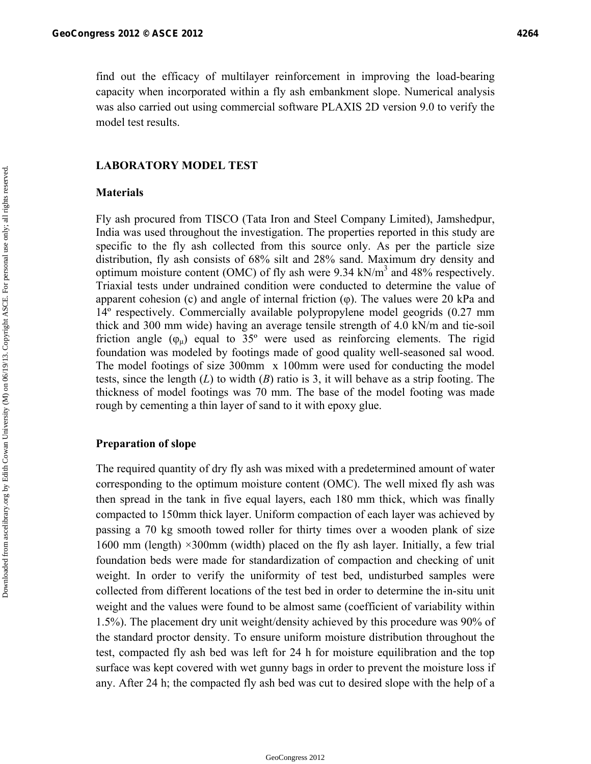find out the efficacy of multilayer reinforcement in improving the load-bearing capacity when incorporated within a fly ash embankment slope. Numerical analysis was also carried out using commercial software PLAXIS 2D version 9.0 to verify the model test results.

## **LABORATORY MODEL TEST**

#### **Materials**

Fly ash procured from TISCO (Tata Iron and Steel Company Limited), Jamshedpur, India was used throughout the investigation. The properties reported in this study are specific to the fly ash collected from this source only. As per the particle size distribution, fly ash consists of 68% silt and 28% sand. Maximum dry density and optimum moisture content (OMC) of fly ash were 9.34 kN/ $m<sup>3</sup>$  and 48% respectively. Triaxial tests under undrained condition were conducted to determine the value of apparent cohesion (c) and angle of internal friction  $(φ)$ . The values were 20 kPa and 14º respectively. Commercially available polypropylene model geogrids (0.27 mm thick and 300 mm wide) having an average tensile strength of 4.0 kN/m and tie-soil friction angle  $(\varphi_{\mu})$  equal to 35° were used as reinforcing elements. The rigid foundation was modeled by footings made of good quality well-seasoned sal wood. The model footings of size 300mm x 100mm were used for conducting the model tests, since the length (*L*) to width (*B*) ratio is 3, it will behave as a strip footing. The thickness of model footings was 70 mm. The base of the model footing was made rough by cementing a thin layer of sand to it with epoxy glue.

## **Preparation of slope**

The required quantity of dry fly ash was mixed with a predetermined amount of water corresponding to the optimum moisture content (OMC). The well mixed fly ash was then spread in the tank in five equal layers, each 180 mm thick, which was finally compacted to 150mm thick layer. Uniform compaction of each layer was achieved by passing a 70 kg smooth towed roller for thirty times over a wooden plank of size 1600 mm (length) ×300mm (width) placed on the fly ash layer. Initially, a few trial foundation beds were made for standardization of compaction and checking of unit weight. In order to verify the uniformity of test bed, undisturbed samples were collected from different locations of the test bed in order to determine the in-situ unit weight and the values were found to be almost same (coefficient of variability within 1.5%). The placement dry unit weight/density achieved by this procedure was 90% of the standard proctor density. To ensure uniform moisture distribution throughout the test, compacted fly ash bed was left for 24 h for moisture equilibration and the top surface was kept covered with wet gunny bags in order to prevent the moisture loss if any. After 24 h; the compacted fly ash bed was cut to desired slope with the help of a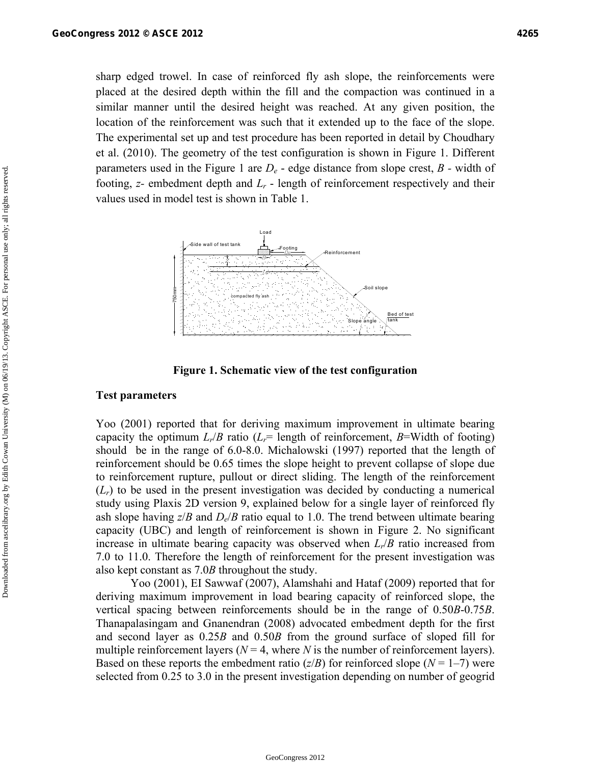sharp edged trowel. In case of reinforced fly ash slope, the reinforcements were placed at the desired depth within the fill and the compaction was continued in a similar manner until the desired height was reached. At any given position, the location of the reinforcement was such that it extended up to the face of the slope. The experimental set up and test procedure has been reported in detail by Choudhary et al. (2010). The geometry of the test configuration is shown in Figure 1. Different parameters used in the Figure 1 are *De* - edge distance from slope crest, *B -* width of footing,  $z$ - embedment depth and  $L_r$  - length of reinforcement respectively and their values used in model test is shown in Table 1.



**Figure 1. Schematic view of the test configuration** 

#### **Test parameters**

Yoo (2001) reported that for deriving maximum improvement in ultimate bearing capacity the optimum  $L_r/B$  ratio ( $L_r$ = length of reinforcement, *B*=Width of footing) should be in the range of 6.0-8.0. Michalowski (1997) reported that the length of reinforcement should be 0.65 times the slope height to prevent collapse of slope due to reinforcement rupture, pullout or direct sliding. The length of the reinforcement  $(L_r)$  to be used in the present investigation was decided by conducting a numerical study using Plaxis 2D version 9, explained below for a single layer of reinforced fly ash slope having *z*/*B* and *De*/*B* ratio equal to 1.0. The trend between ultimate bearing capacity (UBC) and length of reinforcement is shown in Figure 2. No significant increase in ultimate bearing capacity was observed when *Lr*/*B* ratio increased from 7.0 to 11.0. Therefore the length of reinforcement for the present investigation was also kept constant as 7.0*B* throughout the study.

Yoo (2001), EI Sawwaf (2007), Alamshahi and Hataf (2009) reported that for deriving maximum improvement in load bearing capacity of reinforced slope, the vertical spacing between reinforcements should be in the range of 0.50*B*-0.75*B*. Thanapalasingam and Gnanendran (2008) advocated embedment depth for the first and second layer as 0.25*B* and 0.50*B* from the ground surface of sloped fill for multiple reinforcement layers ( $N = 4$ , where N is the number of reinforcement layers). Based on these reports the embedment ratio  $(z/B)$  for reinforced slope  $(N = 1-7)$  were selected from 0.25 to 3.0 in the present investigation depending on number of geogrid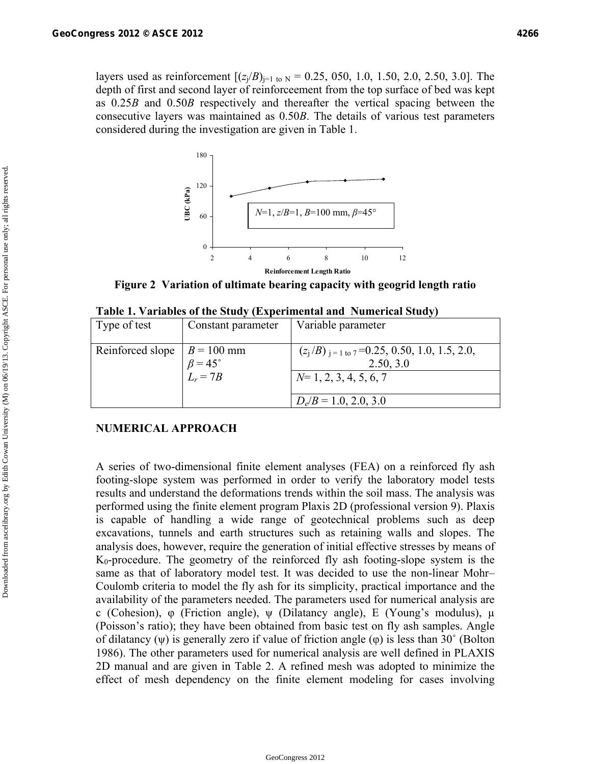layers used as reinforcement  $[(z_i/B)_{i=1 \text{ to N}} = 0.25, 0.50, 1.0, 1.50, 2.0, 2.50, 3.0]$ . The depth of first and second layer of reinforceement from the top surface of bed was kept as 0.25*B* and 0.50*B* respectively and thereafter the vertical spacing between the consecutive layers was maintained as 0.50*B*. The details of various test parameters considered during the investigation are given in Table 1.



**Figure 2 Variation of ultimate bearing capacity with geogrid length ratio** 

| Table 1. Variables of the Study (Experimental and Trumerical Study)                               |                    |                                                   |  |  |  |  |  |
|---------------------------------------------------------------------------------------------------|--------------------|---------------------------------------------------|--|--|--|--|--|
| Type of test                                                                                      | Constant parameter | Variable parameter                                |  |  |  |  |  |
|                                                                                                   |                    |                                                   |  |  |  |  |  |
|                                                                                                   |                    | $(z_i/B)$ i = 1 to 7 = 0.25, 0.50, 1.0, 1.5, 2.0, |  |  |  |  |  |
| Reinforced slope $\begin{cases} B = 100 \text{ mm} \\ \beta = 45^{\circ} \\ L_r = 7B \end{cases}$ |                    | 2.50, 3.0                                         |  |  |  |  |  |
|                                                                                                   |                    | $N=1, 2, 3, 4, 5, 6, 7$                           |  |  |  |  |  |
|                                                                                                   |                    |                                                   |  |  |  |  |  |
|                                                                                                   |                    | $D_e/B = 1.0, 2.0, 3.0$                           |  |  |  |  |  |

### **Table 1. Variables of the Study (Experimental and Numerical Study)**

## **NUMERICAL APPROACH**

A series of two-dimensional finite element analyses (FEA) on a reinforced fly ash footing-slope system was performed in order to verify the laboratory model tests results and understand the deformations trends within the soil mass. The analysis was performed using the finite element program Plaxis 2D (professional version 9). Plaxis is capable of handling a wide range of geotechnical problems such as deep excavations, tunnels and earth structures such as retaining walls and slopes. The analysis does, however, require the generation of initial effective stresses by means of K0-procedure. The geometry of the reinforced fly ash footing-slope system is the same as that of laboratory model test. It was decided to use the non-linear Mohr– Coulomb criteria to model the fly ash for its simplicity, practical importance and the availability of the parameters needed. The parameters used for numerical analysis are c (Cohesion), φ (Friction angle), ψ (Dilatancy angle), E (Young's modulus),  $\mu$ (Poisson's ratio); they have been obtained from basic test on fly ash samples. Angle of dilatancy ( $\psi$ ) is generally zero if value of friction angle ( $\varphi$ ) is less than 30° (Bolton 1986). The other parameters used for numerical analysis are well defined in PLAXIS 2D manual and are given in Table 2. A refined mesh was adopted to minimize the effect of mesh dependency on the finite element modeling for cases involving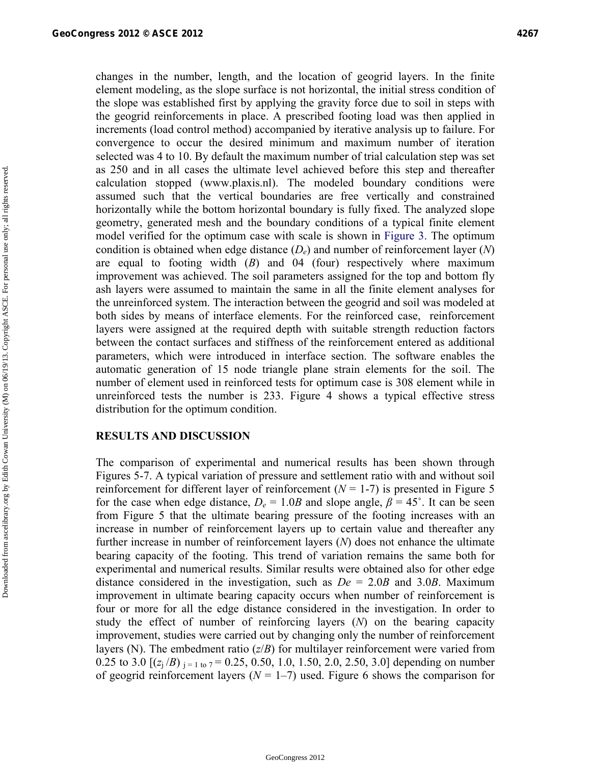changes in the number, length, and the location of geogrid layers. In the finite element modeling, as the slope surface is not horizontal, the initial stress condition of the slope was established first by applying the gravity force due to soil in steps with the geogrid reinforcements in place. A prescribed footing load was then applied in increments (load control method) accompanied by iterative analysis up to failure. For convergence to occur the desired minimum and maximum number of iteration selected was 4 to 10. By default the maximum number of trial calculation step was set as 250 and in all cases the ultimate level achieved before this step and thereafter calculation stopped (www.plaxis.nl). The modeled boundary conditions were assumed such that the vertical boundaries are free vertically and constrained horizontally while the bottom horizontal boundary is fully fixed. The analyzed slope geometry, generated mesh and the boundary conditions of a typical finite element model verified for the optimum case with scale is shown in Figure 3. The optimum condition is obtained when edge distance (*De*) and number of reinforcement layer (*N*) are equal to footing width (*B*) and 04 (four) respectively where maximum improvement was achieved. The soil parameters assigned for the top and bottom fly ash layers were assumed to maintain the same in all the finite element analyses for the unreinforced system. The interaction between the geogrid and soil was modeled at both sides by means of interface elements. For the reinforced case, reinforcement layers were assigned at the required depth with suitable strength reduction factors between the contact surfaces and stiffness of the reinforcement entered as additional parameters, which were introduced in interface section. The software enables the automatic generation of 15 node triangle plane strain elements for the soil. The number of element used in reinforced tests for optimum case is 308 element while in unreinforced tests the number is 233. Figure 4 shows a typical effective stress distribution for the optimum condition.

# **RESULTS AND DISCUSSION**

The comparison of experimental and numerical results has been shown through Figures 5-7. A typical variation of pressure and settlement ratio with and without soil reinforcement for different layer of reinforcement  $(N = 1-7)$  is presented in Figure 5 for the case when edge distance,  $D_e = 1.0B$  and slope angle,  $\beta = 45^{\circ}$ . It can be seen from Figure 5 that the ultimate bearing pressure of the footing increases with an increase in number of reinforcement layers up to certain value and thereafter any further increase in number of reinforcement layers (*N*) does not enhance the ultimate bearing capacity of the footing. This trend of variation remains the same both for experimental and numerical results. Similar results were obtained also for other edge distance considered in the investigation, such as  $De = 2.0B$  and 3.0*B*. Maximum improvement in ultimate bearing capacity occurs when number of reinforcement is four or more for all the edge distance considered in the investigation. In order to study the effect of number of reinforcing layers (*N*) on the bearing capacity improvement, studies were carried out by changing only the number of reinforcement layers (N). The embedment ratio (*z*/*B*) for multilayer reinforcement were varied from 0.25 to 3.0  $[(z_i/B)_{i=1 \text{ to } 7} = 0.25, 0.50, 1.0, 1.50, 2.0, 2.50, 3.0]$  depending on number of geogrid reinforcement layers  $(N = 1-7)$  used. Figure 6 shows the comparison for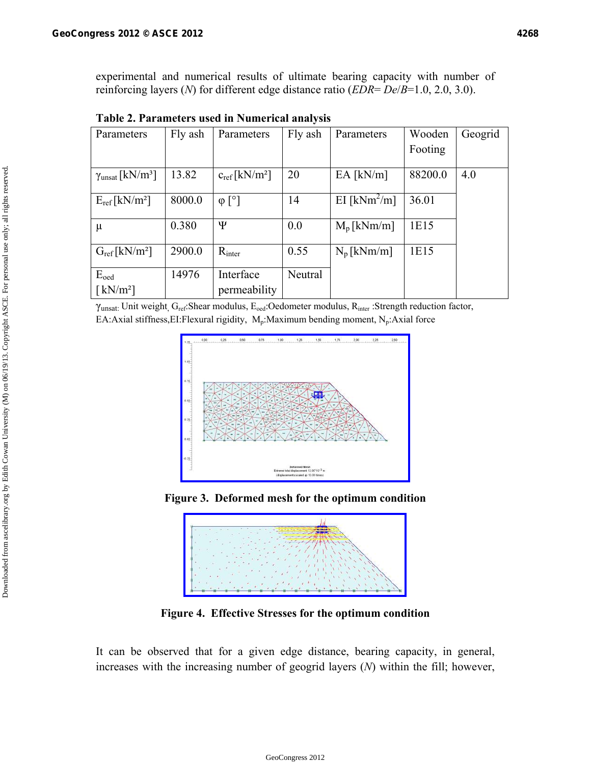experimental and numerical results of ultimate bearing capacity with number of reinforcing layers (*N*) for different edge distance ratio (*EDR*= *De*/*B*=1.0, 2.0, 3.0).

| Parameters                                   | Fly ash | Parameters                     | Fly ash | Parameters       | Wooden  | Geogrid |  |  |  |
|----------------------------------------------|---------|--------------------------------|---------|------------------|---------|---------|--|--|--|
|                                              |         |                                |         |                  | Footing |         |  |  |  |
| $\gamma_{\text{unsat}}$ [kN/m <sup>3</sup> ] | 13.82   | $c_{ref}$ [kN/m <sup>2</sup> ] | 20      | EA[kN/m]         | 88200.0 | 4.0     |  |  |  |
| $E_{ref}$ [kN/m <sup>2</sup> ]               | 8000.0  | $\varphi$ [°]                  | 14      | EI [ $kNm^2/m$ ] | 36.01   |         |  |  |  |
| $\mu$                                        | 0.380   | Ψ                              | 0.0     | $M_p$ [kNm/m]    | 1E15    |         |  |  |  |
| $G_{ref}$ [kN/m <sup>2</sup> ]               | 2900.0  | $R_{inter}$                    | 0.55    | $N_p$ [kNm/m]    | 1E15    |         |  |  |  |
| $E_{\text{oed}}$<br>[ $kN/m^2$ ]             | 14976   | Interface<br>permeability      | Neutral |                  |         |         |  |  |  |

|  |  |  | Table 2. Parameters used in Numerical analysis |  |  |  |  |
|--|--|--|------------------------------------------------|--|--|--|--|
|--|--|--|------------------------------------------------|--|--|--|--|

γunsat: Unit weight, Gref:Shear modulus, Eoed:Oedometer modulus, Rinter :Strength reduction factor, EA:Axial stiffness, EI:Flexural rigidity,  $M_p$ :Maximum bending moment, N<sub>p</sub>:Axial force



**Figure 3. Deformed mesh for the optimum condition** 



**Figure 4. Effective Stresses for the optimum condition** 

It can be observed that for a given edge distance, bearing capacity, in general, increases with the increasing number of geogrid layers (*N*) within the fill; however,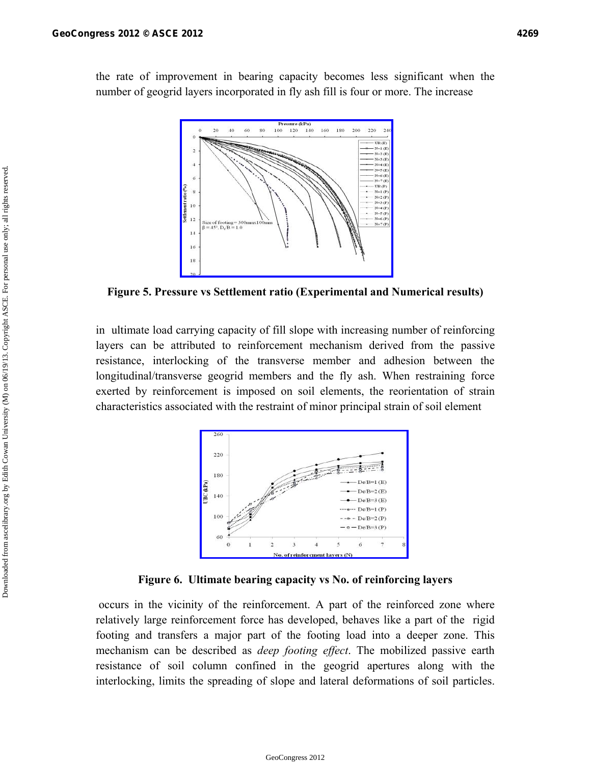the rate of improvement in bearing capacity becomes less significant when the number of geogrid layers incorporated in fly ash fill is four or more. The increase



**Figure 5. Pressure vs Settlement ratio (Experimental and Numerical results)** 

in ultimate load carrying capacity of fill slope with increasing number of reinforcing layers can be attributed to reinforcement mechanism derived from the passive resistance, interlocking of the transverse member and adhesion between the longitudinal/transverse geogrid members and the fly ash. When restraining force exerted by reinforcement is imposed on soil elements, the reorientation of strain characteristics associated with the restraint of minor principal strain of soil element



**Figure 6. Ultimate bearing capacity vs No. of reinforcing layers**

 occurs in the vicinity of the reinforcement. A part of the reinforced zone where relatively large reinforcement force has developed, behaves like a part of the rigid footing and transfers a major part of the footing load into a deeper zone. This mechanism can be described as *deep footing effect*. The mobilized passive earth resistance of soil column confined in the geogrid apertures along with the interlocking, limits the spreading of slope and lateral deformations of soil particles.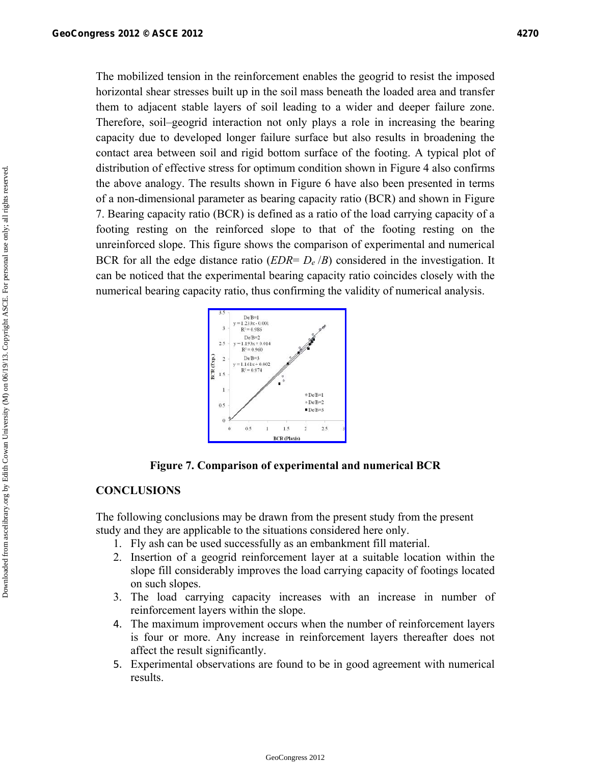The mobilized tension in the reinforcement enables the geogrid to resist the imposed horizontal shear stresses built up in the soil mass beneath the loaded area and transfer them to adjacent stable layers of soil leading to a wider and deeper failure zone. Therefore, soil–geogrid interaction not only plays a role in increasing the bearing capacity due to developed longer failure surface but also results in broadening the contact area between soil and rigid bottom surface of the footing. A typical plot of distribution of effective stress for optimum condition shown in Figure 4 also confirms the above analogy. The results shown in Figure 6 have also been presented in terms of a non-dimensional parameter as bearing capacity ratio (BCR) and shown in Figure 7. Bearing capacity ratio (BCR) is defined as a ratio of the load carrying capacity of a footing resting on the reinforced slope to that of the footing resting on the unreinforced slope. This figure shows the comparison of experimental and numerical BCR for all the edge distance ratio (*EDR*= *De* /*B*) considered in the investigation. It can be noticed that the experimental bearing capacity ratio coincides closely with the numerical bearing capacity ratio, thus confirming the validity of numerical analysis.



### **Figure 7. Comparison of experimental and numerical BCR**

## **CONCLUSIONS**

The following conclusions may be drawn from the present study from the present study and they are applicable to the situations considered here only.

- 1. Fly ash can be used successfully as an embankment fill material.
- 2. Insertion of a geogrid reinforcement layer at a suitable location within the slope fill considerably improves the load carrying capacity of footings located on such slopes.
- 3. The load carrying capacity increases with an increase in number of reinforcement layers within the slope.
- 4. The maximum improvement occurs when the number of reinforcement layers is four or more. Any increase in reinforcement layers thereafter does not affect the result significantly.
- 5. Experimental observations are found to be in good agreement with numerical results.